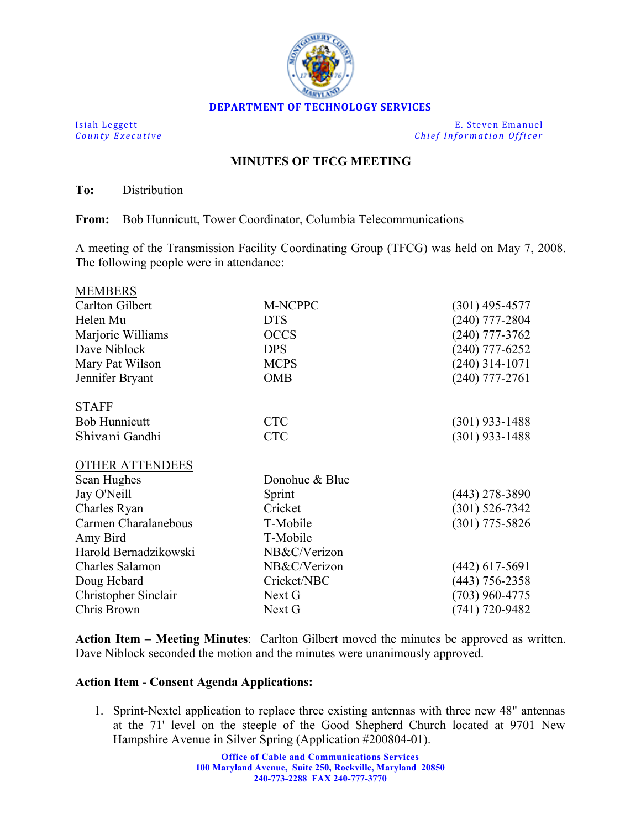

**Isiah Leggett E.** Steven Emanuel *County Executive Chief Information Officer*

## **MINUTES OF TFCG MEETING**

**To:** Distribution

 $\overline{\mathbf{M}}$ 

**From:** Bob Hunnicutt, Tower Coordinator, Columbia Telecommunications

A meeting of the Transmission Facility Coordinating Group (TFCG) was held on May 7, 2008. The following people were in attendance:

| MEMBERS               |                |                    |
|-----------------------|----------------|--------------------|
| Carlton Gilbert       | M-NCPPC        | $(301)$ 495-4577   |
| Helen Mu              | <b>DTS</b>     | $(240)$ 777-2804   |
| Marjorie Williams     | <b>OCCS</b>    | $(240)$ 777-3762   |
| Dave Niblock          | <b>DPS</b>     | $(240)$ 777-6252   |
| Mary Pat Wilson       | <b>MCPS</b>    | $(240)$ 314-1071   |
| Jennifer Bryant       | <b>OMB</b>     | $(240)$ 777-2761   |
| <b>STAFF</b>          |                |                    |
| <b>Bob Hunnicutt</b>  | <b>CTC</b>     | $(301)$ 933-1488   |
| Shivani Gandhi        | <b>CTC</b>     | $(301)$ 933-1488   |
| OTHER ATTENDEES       |                |                    |
| Sean Hughes           | Donohue & Blue |                    |
| Jay O'Neill           | Sprint         | $(443)$ 278-3890   |
| Charles Ryan          | Cricket        | $(301) 526 - 7342$ |
| Carmen Charalanebous  | T-Mobile       | $(301)$ 775-5826   |
| Amy Bird              | T-Mobile       |                    |
| Harold Bernadzikowski | NB&C/Verizon   |                    |
| Charles Salamon       | NB&C/Verizon   | $(442)$ 617-5691   |
| Doug Hebard           | Cricket/NBC    | $(443)$ 756-2358   |
| Christopher Sinclair  | Next G         | $(703)$ 960-4775   |
| Chris Brown           | Next G         | $(741) 720 - 9482$ |
|                       |                |                    |

**Action Item – Meeting Minutes**: Carlton Gilbert moved the minutes be approved as written. Dave Niblock seconded the motion and the minutes were unanimously approved.

## **Action Item - Consent Agenda Applications:**

1. Sprint-Nextel application to replace three existing antennas with three new 48" antennas at the 71' level on the steeple of the Good Shepherd Church located at 9701 New Hampshire Avenue in Silver Spring (Application #200804-01).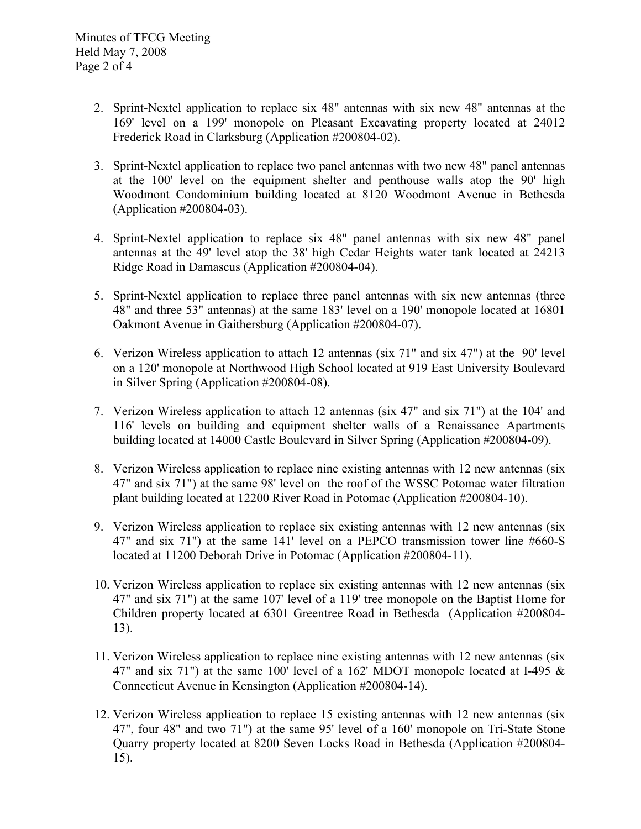- 2. Sprint-Nextel application to replace six 48" antennas with six new 48" antennas at the 169' level on a 199' monopole on Pleasant Excavating property located at 24012 Frederick Road in Clarksburg (Application #200804-02).
- 3. Sprint-Nextel application to replace two panel antennas with two new 48" panel antennas at the 100' level on the equipment shelter and penthouse walls atop the 90' high Woodmont Condominium building located at 8120 Woodmont Avenue in Bethesda (Application #200804-03).
- 4. Sprint-Nextel application to replace six 48" panel antennas with six new 48" panel antennas at the 49' level atop the 38' high Cedar Heights water tank located at 24213 Ridge Road in Damascus (Application #200804-04).
- 5. Sprint-Nextel application to replace three panel antennas with six new antennas (three 48" and three 53" antennas) at the same 183' level on a 190' monopole located at 16801 Oakmont Avenue in Gaithersburg (Application #200804-07).
- 6. Verizon Wireless application to attach 12 antennas (six 71" and six 47") at the 90' level on a 120' monopole at Northwood High School located at 919 East University Boulevard in Silver Spring (Application #200804-08).
- 7. Verizon Wireless application to attach 12 antennas (six 47" and six 71") at the 104' and 116' levels on building and equipment shelter walls of a Renaissance Apartments building located at 14000 Castle Boulevard in Silver Spring (Application #200804-09).
- 8. Verizon Wireless application to replace nine existing antennas with 12 new antennas (six 47" and six 71") at the same 98' level on the roof of the WSSC Potomac water filtration plant building located at 12200 River Road in Potomac (Application #200804-10).
- 9. Verizon Wireless application to replace six existing antennas with 12 new antennas (six 47" and six 71") at the same 141' level on a PEPCO transmission tower line #660-S located at 11200 Deborah Drive in Potomac (Application #200804-11).
- 10. Verizon Wireless application to replace six existing antennas with 12 new antennas (six 47" and six 71") at the same 107' level of a 119' tree monopole on the Baptist Home for Children property located at 6301 Greentree Road in Bethesda (Application #200804- 13).
- 11. Verizon Wireless application to replace nine existing antennas with 12 new antennas (six 47" and six 71") at the same 100' level of a 162' MDOT monopole located at I-495  $\&$ Connecticut Avenue in Kensington (Application #200804-14).
- 12. Verizon Wireless application to replace 15 existing antennas with 12 new antennas (six 47", four 48" and two 71") at the same 95' level of a 160' monopole on Tri-State Stone Quarry property located at 8200 Seven Locks Road in Bethesda (Application #200804- 15).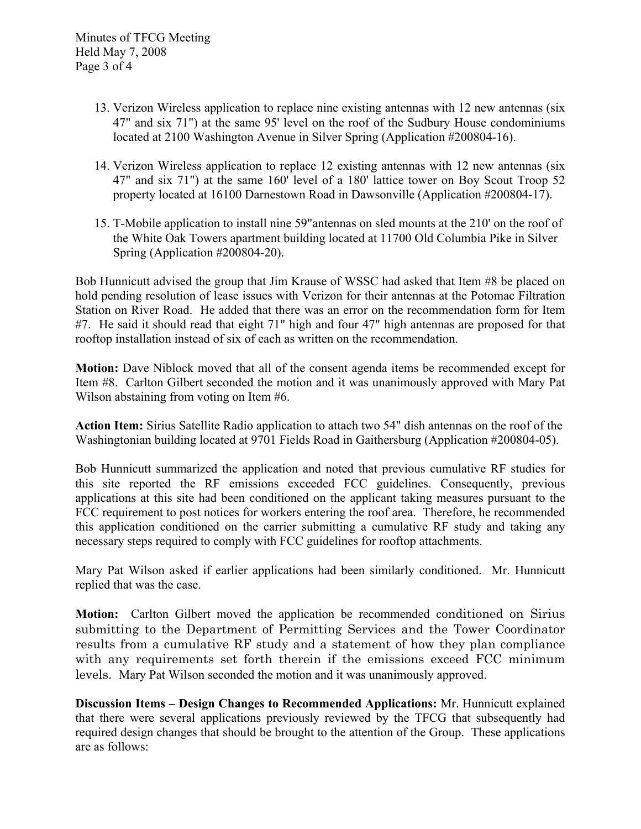- 13. Verizon Wireless application to replace nine existing antennas with 12 new antennas (six 47" and six 71") at the same 95' level on the roof of the Sudbury House condominiums located at 2100 Washington Avenue in Silver Spring (Application #200804-16).
- 14. Verizon Wireless application to replace 12 existing antennas with 12 new antennas (six 47" and six 71") at the same 160' level of a 180' lattice tower on Boy Scout Troop 52 property located at 16100 Darnestown Road in Dawsonville (Application #200804-17).
- 15. T-Mobile application to install nine 59"antennas on sled mounts at the 210' on the roof of the White Oak Towers apartment building located at 11700 Old Columbia Pike in Silver Spring (Application #200804-20).

Bob Hunnicutt advised the group that Jim Krause of WSSC had asked that Item #8 be placed on hold pending resolution of lease issues with Verizon for their antennas at the Potomac Filtration Station on River Road. He added that there was an error on the recommendation form for Item #7. He said it should read that eight 71" high and four 47" high antennas are proposed for that rooftop installation instead of six of each as written on the recommendation.

**Motion:** Dave Niblock moved that all of the consent agenda items be recommended except for Item #8. Carlton Gilbert seconded the motion and it was unanimously approved with Mary Pat Wilson abstaining from voting on Item #6.

**Action Item:** Sirius Satellite Radio application to attach two 54" dish antennas on the roof of the Washingtonian building located at 9701 Fields Road in Gaithersburg (Application #200804-05).

Bob Hunnicutt summarized the application and noted that previous cumulative RF studies for this site reported the RF emissions exceeded FCC guidelines. Consequently, previous applications at this site had been conditioned on the applicant taking measures pursuant to the FCC requirement to post notices for workers entering the roof area. Therefore, he recommended this application conditioned on the carrier submitting a cumulative RF study and taking any necessary steps required to comply with FCC guidelines for rooftop attachments.

Mary Pat Wilson asked if earlier applications had been similarly conditioned. Mr. Hunnicutt replied that was the case.

**Motion:** Carlton Gilbert moved the application be recommended conditioned on Sirius submitting to the Department of Permitting Services and the Tower Coordinator results from a cumulative RF study and a statement of how they plan compliance with any requirements set forth therein if the emissions exceed FCC minimum levels. Mary Pat Wilson seconded the motion and it was unanimously approved.

**Discussion Items – Design Changes to Recommended Applications:** Mr. Hunnicutt explained that there were several applications previously reviewed by the TFCG that subsequently had required design changes that should be brought to the attention of the Group. These applications are as follows: